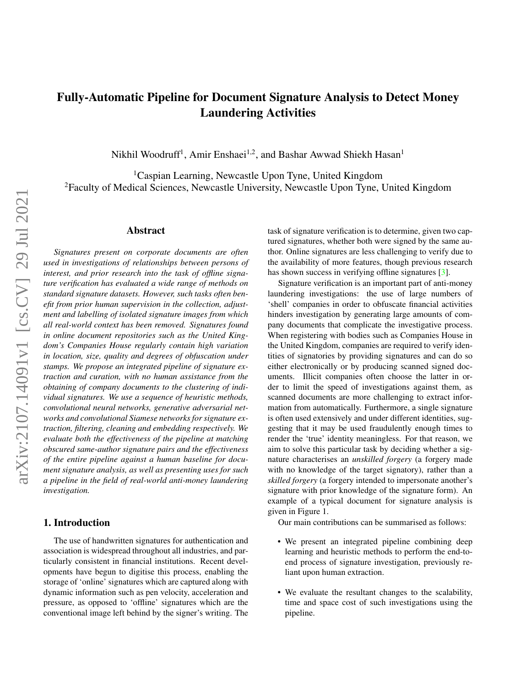# <span id="page-0-0"></span>Fully-Automatic Pipeline for Document Signature Analysis to Detect Money Laundering Activities

Nikhil Woodruff<sup>1</sup>, Amir Enshaei<sup>1,2</sup>, and Bashar Awwad Shiekh Hasan<sup>1</sup>

<sup>1</sup>Caspian Learning, Newcastle Upon Tyne, United Kingdom <sup>2</sup>Faculty of Medical Sciences, Newcastle University, Newcastle Upon Tyne, United Kingdom

#### Abstract

*Signatures present on corporate documents are often used in investigations of relationships between persons of interest, and prior research into the task of offline signature verification has evaluated a wide range of methods on standard signature datasets. However, such tasks often benefit from prior human supervision in the collection, adjustment and labelling of isolated signature images from which all real-world context has been removed. Signatures found in online document repositories such as the United Kingdom's Companies House regularly contain high variation in location, size, quality and degrees of obfuscation under stamps. We propose an integrated pipeline of signature extraction and curation, with no human assistance from the obtaining of company documents to the clustering of individual signatures. We use a sequence of heuristic methods, convolutional neural networks, generative adversarial networks and convolutional Siamese networks for signature extraction, filtering, cleaning and embedding respectively. We evaluate both the effectiveness of the pipeline at matching obscured same-author signature pairs and the effectiveness of the entire pipeline against a human baseline for document signature analysis, as well as presenting uses for such a pipeline in the field of real-world anti-money laundering investigation.*

# 1. Introduction

The use of handwritten signatures for authentication and association is widespread throughout all industries, and particularly consistent in financial institutions. Recent developments have begun to digitise this process, enabling the storage of 'online' signatures which are captured along with dynamic information such as pen velocity, acceleration and pressure, as opposed to 'offline' signatures which are the conventional image left behind by the signer's writing. The task of signature verification is to determine, given two captured signatures, whether both were signed by the same author. Online signatures are less challenging to verify due to the availability of more features, though previous research has shown success in verifying offline signatures [\[3\]](#page-8-0).

Signature verification is an important part of anti-money laundering investigations: the use of large numbers of 'shell' companies in order to obfuscate financial activities hinders investigation by generating large amounts of company documents that complicate the investigative process. When registering with bodies such as Companies House in the United Kingdom, companies are required to verify identities of signatories by providing signatures and can do so either electronically or by producing scanned signed documents. Illicit companies often choose the latter in order to limit the speed of investigations against them, as scanned documents are more challenging to extract information from automatically. Furthermore, a single signature is often used extensively and under different identities, suggesting that it may be used fraudulently enough times to render the 'true' identity meaningless. For that reason, we aim to solve this particular task by deciding whether a signature characterises an *unskilled forgery* (a forgery made with no knowledge of the target signatory), rather than a *skilled forgery* (a forgery intended to impersonate another's signature with prior knowledge of the signature form). An example of a typical document for signature analysis is given in Figure 1.

Our main contributions can be summarised as follows:

- We present an integrated pipeline combining deep learning and heuristic methods to perform the end-toend process of signature investigation, previously reliant upon human extraction.
- We evaluate the resultant changes to the scalability, time and space cost of such investigations using the pipeline.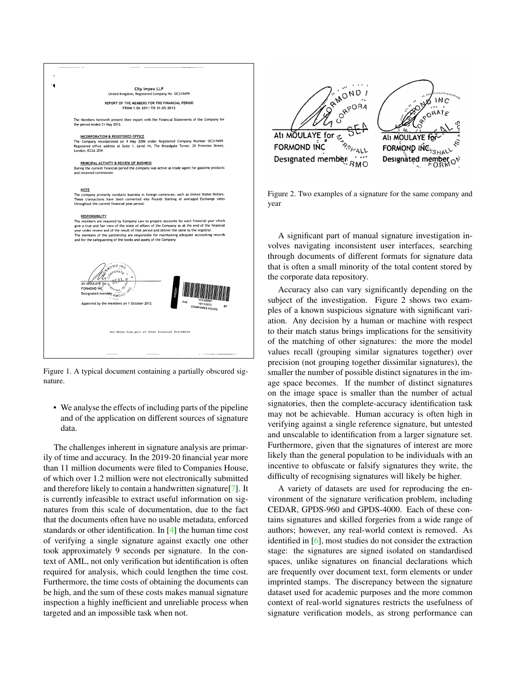<span id="page-1-0"></span>

Figure 1. A typical document containing a partially obscured signature.

• We analyse the effects of including parts of the pipeline and of the application on different sources of signature data.

The challenges inherent in signature analysis are primarily of time and accuracy. In the 2019-20 financial year more than 11 million documents were filed to Companies House, of which over 1.2 million were not electronically submitted and therefore likely to contain a handwritten signature[\[7\]](#page-8-1). It is currently infeasible to extract useful information on signatures from this scale of documentation, due to the fact that the documents often have no usable metadata, enforced standards or other identification. In [\[4\]](#page-8-2) the human time cost of verifying a single signature against exactly one other took approximately 9 seconds per signature. In the context of AML, not only verification but identification is often required for analysis, which could lengthen the time cost. Furthermore, the time costs of obtaining the documents can be high, and the sum of these costs makes manual signature inspection a highly inefficient and unreliable process when targeted and an impossible task when not.



Figure 2. Two examples of a signature for the same company and year

A significant part of manual signature investigation involves navigating inconsistent user interfaces, searching through documents of different formats for signature data that is often a small minority of the total content stored by the corporate data repository.

Accuracy also can vary significantly depending on the subject of the investigation. Figure 2 shows two examples of a known suspicious signature with significant variation. Any decision by a human or machine with respect to their match status brings implications for the sensitivity of the matching of other signatures: the more the model values recall (grouping similar signatures together) over precision (not grouping together dissimilar signatures), the smaller the number of possible distinct signatures in the image space becomes. If the number of distinct signatures on the image space is smaller than the number of actual signatories, then the complete-accuracy identification task may not be achievable. Human accuracy is often high in verifying against a single reference signature, but untested and unscalable to identification from a larger signature set. Furthermore, given that the signatures of interest are more likely than the general population to be individuals with an incentive to obfuscate or falsify signatures they write, the difficulty of recognising signatures will likely be higher.

A variety of datasets are used for reproducing the environment of the signature verification problem, including CEDAR, GPDS-960 and GPDS-4000. Each of these contains signatures and skilled forgeries from a wide range of authors; however, any real-world context is removed. As identified in [\[6\]](#page-8-3), most studies do not consider the extraction stage: the signatures are signed isolated on standardised spaces, unlike signatures on financial declarations which are frequently over document text, form elements or under imprinted stamps. The discrepancy between the signature dataset used for academic purposes and the more common context of real-world signatures restricts the usefulness of signature verification models, as strong performance can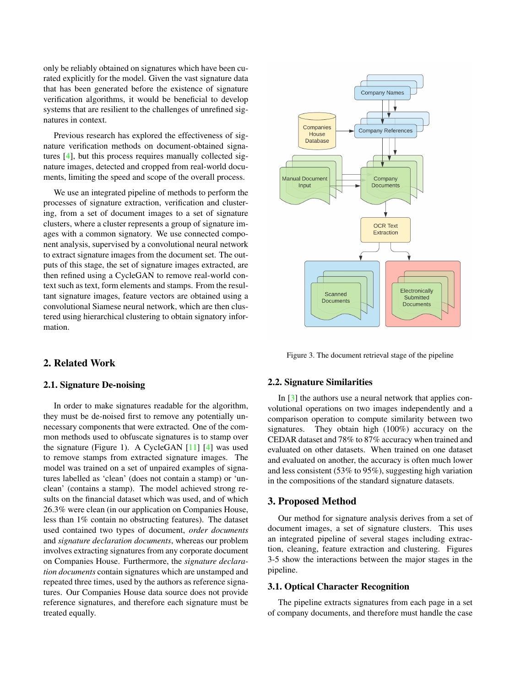<span id="page-2-0"></span>only be reliably obtained on signatures which have been curated explicitly for the model. Given the vast signature data that has been generated before the existence of signature verification algorithms, it would be beneficial to develop systems that are resilient to the challenges of unrefined signatures in context.

Previous research has explored the effectiveness of signature verification methods on document-obtained signatures [\[4\]](#page-8-2), but this process requires manually collected signature images, detected and cropped from real-world documents, limiting the speed and scope of the overall process.

We use an integrated pipeline of methods to perform the processes of signature extraction, verification and clustering, from a set of document images to a set of signature clusters, where a cluster represents a group of signature images with a common signatory. We use connected component analysis, supervised by a convolutional neural network to extract signature images from the document set. The outputs of this stage, the set of signature images extracted, are then refined using a CycleGAN to remove real-world context such as text, form elements and stamps. From the resultant signature images, feature vectors are obtained using a convolutional Siamese neural network, which are then clustered using hierarchical clustering to obtain signatory information.

# 2. Related Work

## 2.1. Signature De-noising

In order to make signatures readable for the algorithm, they must be de-noised first to remove any potentially unnecessary components that were extracted. One of the common methods used to obfuscate signatures is to stamp over the signature (Figure 1). A CycleGAN [\[11\]](#page-8-4) [\[4\]](#page-8-2) was used to remove stamps from extracted signature images. The model was trained on a set of unpaired examples of signatures labelled as 'clean' (does not contain a stamp) or 'unclean' (contains a stamp). The model achieved strong results on the financial dataset which was used, and of which 26.3% were clean (in our application on Companies House, less than 1% contain no obstructing features). The dataset used contained two types of document, *order documents* and *signature declaration documents*, whereas our problem involves extracting signatures from any corporate document on Companies House. Furthermore, the *signature declaration documents* contain signatures which are unstamped and repeated three times, used by the authors as reference signatures. Our Companies House data source does not provide reference signatures, and therefore each signature must be treated equally.



Figure 3. The document retrieval stage of the pipeline

#### 2.2. Signature Similarities

In [\[3\]](#page-8-0) the authors use a neural network that applies convolutional operations on two images independently and a comparison operation to compute similarity between two signatures. They obtain high (100%) accuracy on the CEDAR dataset and 78% to 87% accuracy when trained and evaluated on other datasets. When trained on one dataset and evaluated on another, the accuracy is often much lower and less consistent (53% to 95%), suggesting high variation in the compositions of the standard signature datasets.

## 3. Proposed Method

Our method for signature analysis derives from a set of document images, a set of signature clusters. This uses an integrated pipeline of several stages including extraction, cleaning, feature extraction and clustering. Figures 3-5 show the interactions between the major stages in the pipeline.

#### 3.1. Optical Character Recognition

The pipeline extracts signatures from each page in a set of company documents, and therefore must handle the case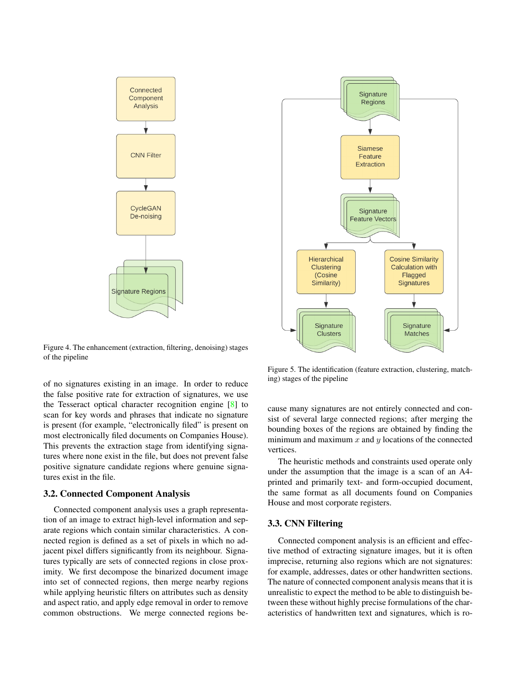<span id="page-3-0"></span>

Figure 4. The enhancement (extraction, filtering, denoising) stages of the pipeline

of no signatures existing in an image. In order to reduce the false positive rate for extraction of signatures, we use the Tesseract optical character recognition engine [\[8\]](#page-8-5) to scan for key words and phrases that indicate no signature is present (for example, "electronically filed" is present on most electronically filed documents on Companies House). This prevents the extraction stage from identifying signatures where none exist in the file, but does not prevent false positive signature candidate regions where genuine signatures exist in the file.

#### 3.2. Connected Component Analysis

Connected component analysis uses a graph representation of an image to extract high-level information and separate regions which contain similar characteristics. A connected region is defined as a set of pixels in which no adjacent pixel differs significantly from its neighbour. Signatures typically are sets of connected regions in close proximity. We first decompose the binarized document image into set of connected regions, then merge nearby regions while applying heuristic filters on attributes such as density and aspect ratio, and apply edge removal in order to remove common obstructions. We merge connected regions be-



Figure 5. The identification (feature extraction, clustering, matching) stages of the pipeline

cause many signatures are not entirely connected and consist of several large connected regions; after merging the bounding boxes of the regions are obtained by finding the minimum and maximum  $x$  and  $y$  locations of the connected vertices.

The heuristic methods and constraints used operate only under the assumption that the image is a scan of an A4 printed and primarily text- and form-occupied document, the same format as all documents found on Companies House and most corporate registers.

## 3.3. CNN Filtering

Connected component analysis is an efficient and effective method of extracting signature images, but it is often imprecise, returning also regions which are not signatures: for example, addresses, dates or other handwritten sections. The nature of connected component analysis means that it is unrealistic to expect the method to be able to distinguish between these without highly precise formulations of the characteristics of handwritten text and signatures, which is ro-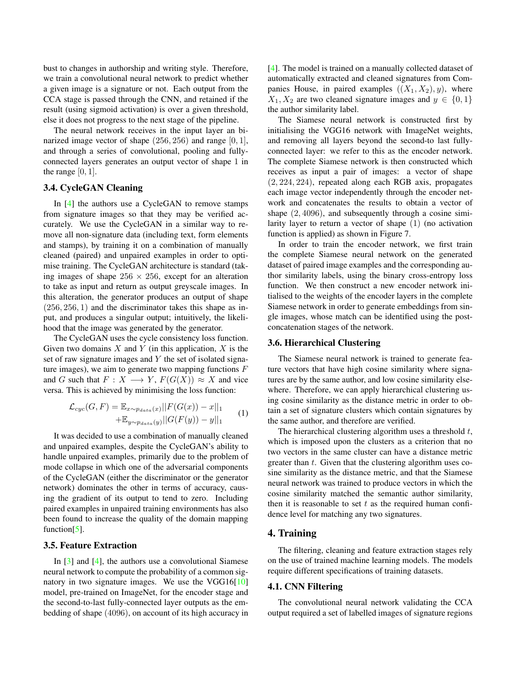<span id="page-4-0"></span>bust to changes in authorship and writing style. Therefore, we train a convolutional neural network to predict whether a given image is a signature or not. Each output from the CCA stage is passed through the CNN, and retained if the result (using sigmoid activation) is over a given threshold, else it does not progress to the next stage of the pipeline.

The neural network receives in the input layer an binarized image vector of shape  $(256, 256)$  and range  $[0, 1]$ , and through a series of convolutional, pooling and fullyconnected layers generates an output vector of shape 1 in the range  $[0, 1]$ .

# 3.4. CycleGAN Cleaning

In [\[4\]](#page-8-2) the authors use a CycleGAN to remove stamps from signature images so that they may be verified accurately. We use the CycleGAN in a similar way to remove all non-signature data (including text, form elements and stamps), by training it on a combination of manually cleaned (paired) and unpaired examples in order to optimise training. The CycleGAN architecture is standard (taking images of shape  $256 \times 256$ , except for an alteration to take as input and return as output greyscale images. In this alteration, the generator produces an output of shape  $(256, 256, 1)$  and the discriminator takes this shape as input, and produces a singular output; intuitively, the likelihood that the image was generated by the generator.

The CycleGAN uses the cycle consistency loss function. Given two domains  $X$  and  $Y$  (in this application,  $X$  is the set of raw signature images and  $Y$  the set of isolated signature images), we aim to generate two mapping functions  $F$ and G such that  $F: X \longrightarrow Y$ ,  $F(G(X)) \approx X$  and vice versa. This is achieved by minimising the loss function:

$$
\mathcal{L}_{cyc}(G,F) = \mathbb{E}_{x \sim p_{data}(x)} ||F(G(x)) - x||_1
$$
  
 
$$
+ \mathbb{E}_{y \sim p_{data}(y)} ||G(F(y)) - y||_1
$$
 (1)

It was decided to use a combination of manually cleaned and unpaired examples, despite the CycleGAN's ability to handle unpaired examples, primarily due to the problem of mode collapse in which one of the adversarial components of the CycleGAN (either the discriminator or the generator network) dominates the other in terms of accuracy, causing the gradient of its output to tend to zero. Including paired examples in unpaired training environments has also been found to increase the quality of the domain mapping function[\[5\]](#page-8-6).

### 3.5. Feature Extraction

In  $\lceil 3 \rceil$  and  $\lceil 4 \rceil$ , the authors use a convolutional Siamese neural network to compute the probability of a common signatory in two signature images. We use the VGG16[\[10\]](#page-8-7) model, pre-trained on ImageNet, for the encoder stage and the second-to-last fully-connected layer outputs as the embedding of shape (4096), on account of its high accuracy in [\[4\]](#page-8-2). The model is trained on a manually collected dataset of automatically extracted and cleaned signatures from Companies House, in paired examples  $((X_1, X_2), y)$ , where  $X_1, X_2$  are two cleaned signature images and  $y \in \{0, 1\}$ the author similarity label.

The Siamese neural network is constructed first by initialising the VGG16 network with ImageNet weights, and removing all layers beyond the second-to last fullyconnected layer: we refer to this as the encoder network. The complete Siamese network is then constructed which receives as input a pair of images: a vector of shape (2, 224, 224), repeated along each RGB axis, propagates each image vector independently through the encoder network and concatenates the results to obtain a vector of shape (2, 4096), and subsequently through a cosine similarity layer to return a vector of shape (1) (no activation function is applied) as shown in Figure 7.

In order to train the encoder network, we first train the complete Siamese neural network on the generated dataset of paired image examples and the corresponding author similarity labels, using the binary cross-entropy loss function. We then construct a new encoder network initialised to the weights of the encoder layers in the complete Siamese network in order to generate embeddings from single images, whose match can be identified using the postconcatenation stages of the network.

# 3.6. Hierarchical Clustering

The Siamese neural network is trained to generate feature vectors that have high cosine similarity where signatures are by the same author, and low cosine similarity elsewhere. Therefore, we can apply hierarchical clustering using cosine similarity as the distance metric in order to obtain a set of signature clusters which contain signatures by the same author, and therefore are verified.

The hierarchical clustering algorithm uses a threshold  $t$ , which is imposed upon the clusters as a criterion that no two vectors in the same cluster can have a distance metric greater than  $t$ . Given that the clustering algorithm uses cosine similarity as the distance metric, and that the Siamese neural network was trained to produce vectors in which the cosine similarity matched the semantic author similarity, then it is reasonable to set  $t$  as the required human confidence level for matching any two signatures.

# 4. Training

The filtering, cleaning and feature extraction stages rely on the use of trained machine learning models. The models require different specifications of training datasets.

#### 4.1. CNN Filtering

The convolutional neural network validating the CCA output required a set of labelled images of signature regions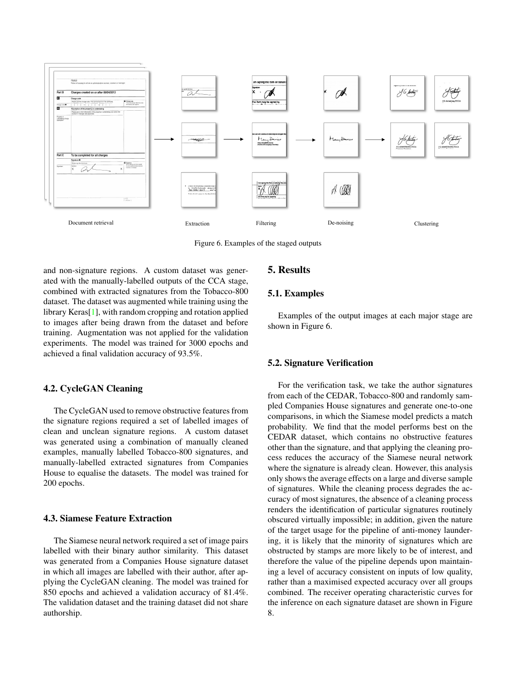<span id="page-5-0"></span>

Figure 6. Examples of the staged outputs

and non-signature regions. A custom dataset was generated with the manually-labelled outputs of the CCA stage, combined with extracted signatures from the Tobacco-800 dataset. The dataset was augmented while training using the library Keras[\[1\]](#page-8-8), with random cropping and rotation applied to images after being drawn from the dataset and before training. Augmentation was not applied for the validation experiments. The model was trained for 3000 epochs and achieved a final validation accuracy of 93.5%.

## 4.2. CycleGAN Cleaning

The CycleGAN used to remove obstructive features from the signature regions required a set of labelled images of clean and unclean signature regions. A custom dataset was generated using a combination of manually cleaned examples, manually labelled Tobacco-800 signatures, and manually-labelled extracted signatures from Companies House to equalise the datasets. The model was trained for 200 epochs.

## 4.3. Siamese Feature Extraction

The Siamese neural network required a set of image pairs labelled with their binary author similarity. This dataset was generated from a Companies House signature dataset in which all images are labelled with their author, after applying the CycleGAN cleaning. The model was trained for 850 epochs and achieved a validation accuracy of 81.4%. The validation dataset and the training dataset did not share authorship.

# 5. Results

## 5.1. Examples

Examples of the output images at each major stage are shown in Figure 6.

### 5.2. Signature Verification

For the verification task, we take the author signatures from each of the CEDAR, Tobacco-800 and randomly sampled Companies House signatures and generate one-to-one comparisons, in which the Siamese model predicts a match probability. We find that the model performs best on the CEDAR dataset, which contains no obstructive features other than the signature, and that applying the cleaning process reduces the accuracy of the Siamese neural network where the signature is already clean. However, this analysis only shows the average effects on a large and diverse sample of signatures. While the cleaning process degrades the accuracy of most signatures, the absence of a cleaning process renders the identification of particular signatures routinely obscured virtually impossible; in addition, given the nature of the target usage for the pipeline of anti-money laundering, it is likely that the minority of signatures which are obstructed by stamps are more likely to be of interest, and therefore the value of the pipeline depends upon maintaining a level of accuracy consistent on inputs of low quality, rather than a maximised expected accuracy over all groups combined. The receiver operating characteristic curves for the inference on each signature dataset are shown in Figure 8.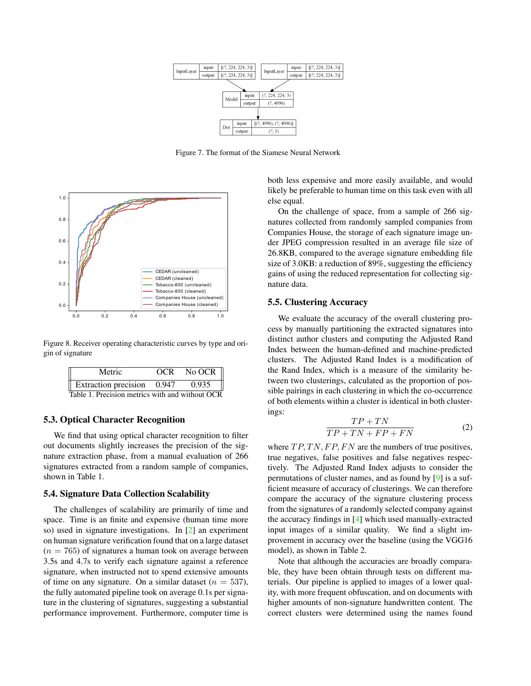<span id="page-6-0"></span>

Figure 7. The format of the Siamese Neural Network



Figure 8. Receiver operating characteristic curves by type and origin of signature

| Metric                                          | OCR No OCR $\parallel$ |
|-------------------------------------------------|------------------------|
| Extraction precision 0.947                      | 0.935                  |
| Table 1. Precision metrics with and without OCR |                        |

#### 5.3. Optical Character Recognition

We find that using optical character recognition to filter out documents slightly increases the precision of the signature extraction phase, from a manual evaluation of 266 signatures extracted from a random sample of companies, shown in Table 1.

#### 5.4. Signature Data Collection Scalability

The challenges of scalability are primarily of time and space. Time is an finite and expensive (human time more so) used in signature investigations. In [\[2\]](#page-8-9) an experiment on human signature verification found that on a large dataset  $(n = 765)$  of signatures a human took on average between 3.5s and 4.7s to verify each signature against a reference signature, when instructed not to spend extensive amounts of time on any signature. On a similar dataset ( $n = 537$ ), the fully automated pipeline took on average 0.1s per signature in the clustering of signatures, suggesting a substantial performance improvement. Furthermore, computer time is both less expensive and more easily available, and would likely be preferable to human time on this task even with all else equal.

On the challenge of space, from a sample of 266 signatures collected from randomly sampled companies from Companies House, the storage of each signature image under JPEG compression resulted in an average file size of 26.8KB, compared to the average signature embedding file size of 3.0KB: a reduction of 89%, suggesting the efficiency gains of using the reduced representation for collecting signature data.

#### 5.5. Clustering Accuracy

We evaluate the accuracy of the overall clustering process by manually partitioning the extracted signatures into distinct author clusters and computing the Adjusted Rand Index between the human-defined and machine-predicted clusters. The Adjusted Rand Index is a modification of the Rand Index, which is a measure of the similarity between two clusterings, calculated as the proportion of possible pairings in each clustering in which the co-occurrence of both elements within a cluster is identical in both clusterings:

$$
\frac{TP + TN}{TP + TN + FP + FN}
$$
 (2)

where  $TP, TN, FP, FN$  are the numbers of true positives, true negatives, false positives and false negatives respectively. The Adjusted Rand Index adjusts to consider the permutations of cluster names, and as found by [\[9\]](#page-8-10) is a sufficient measure of accuracy of clusterings. We can therefore compare the accuracy of the signature clustering process from the signatures of a randomly selected company against the accuracy findings in [\[4\]](#page-8-2) which used manually-extracted input images of a similar quality. We find a slight improvement in accuracy over the baseline (using the VGG16 model), as shown in Table 2.

Note that although the accuracies are broadly comparable, they have been obtain through tests on different materials. Our pipeline is applied to images of a lower quality, with more frequent obfuscation, and on documents with higher amounts of non-signature handwritten content. The correct clusters were determined using the names found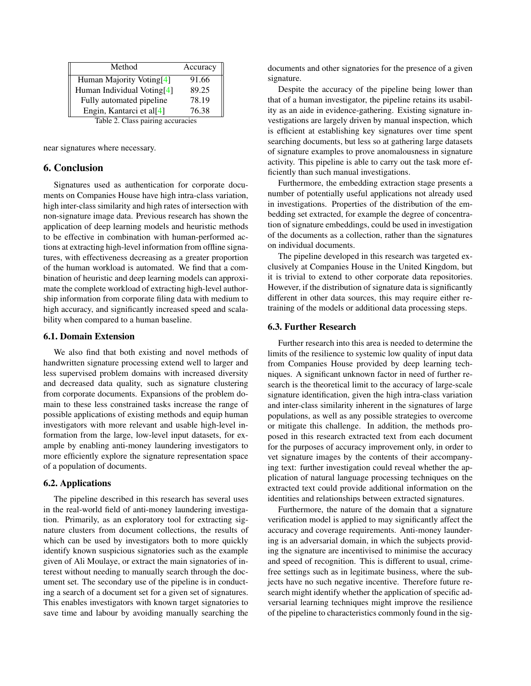<span id="page-7-0"></span>

| Method                            | Accuracy |  |
|-----------------------------------|----------|--|
| Human Majority Voting[4]          | 91.66    |  |
| Human Individual Voting[4]        | 89.25    |  |
| Fully automated pipeline          | 78.19    |  |
| Engin, Kantarci et al[4]          | 76.38    |  |
| Table 2. Class pairing accuracies |          |  |

near signatures where necessary.

## 6. Conclusion

Signatures used as authentication for corporate documents on Companies House have high intra-class variation, high inter-class similarity and high rates of intersection with non-signature image data. Previous research has shown the application of deep learning models and heuristic methods to be effective in combination with human-performed actions at extracting high-level information from offline signatures, with effectiveness decreasing as a greater proportion of the human workload is automated. We find that a combination of heuristic and deep learning models can approximate the complete workload of extracting high-level authorship information from corporate filing data with medium to high accuracy, and significantly increased speed and scalability when compared to a human baseline.

#### 6.1. Domain Extension

We also find that both existing and novel methods of handwritten signature processing extend well to larger and less supervised problem domains with increased diversity and decreased data quality, such as signature clustering from corporate documents. Expansions of the problem domain to these less constrained tasks increase the range of possible applications of existing methods and equip human investigators with more relevant and usable high-level information from the large, low-level input datasets, for example by enabling anti-money laundering investigators to more efficiently explore the signature representation space of a population of documents.

## 6.2. Applications

The pipeline described in this research has several uses in the real-world field of anti-money laundering investigation. Primarily, as an exploratory tool for extracting signature clusters from document collections, the results of which can be used by investigators both to more quickly identify known suspicious signatories such as the example given of Ali Moulaye, or extract the main signatories of interest without needing to manually search through the document set. The secondary use of the pipeline is in conducting a search of a document set for a given set of signatures. This enables investigators with known target signatories to save time and labour by avoiding manually searching the documents and other signatories for the presence of a given signature.

Despite the accuracy of the pipeline being lower than that of a human investigator, the pipeline retains its usability as an aide in evidence-gathering. Existing signature investigations are largely driven by manual inspection, which is efficient at establishing key signatures over time spent searching documents, but less so at gathering large datasets of signature examples to prove anomalousness in signature activity. This pipeline is able to carry out the task more efficiently than such manual investigations.

Furthermore, the embedding extraction stage presents a number of potentially useful applications not already used in investigations. Properties of the distribution of the embedding set extracted, for example the degree of concentration of signature embeddings, could be used in investigation of the documents as a collection, rather than the signatures on individual documents.

The pipeline developed in this research was targeted exclusively at Companies House in the United Kingdom, but it is trivial to extend to other corporate data repositories. However, if the distribution of signature data is significantly different in other data sources, this may require either retraining of the models or additional data processing steps.

#### 6.3. Further Research

Further research into this area is needed to determine the limits of the resilience to systemic low quality of input data from Companies House provided by deep learning techniques. A significant unknown factor in need of further research is the theoretical limit to the accuracy of large-scale signature identification, given the high intra-class variation and inter-class similarity inherent in the signatures of large populations, as well as any possible strategies to overcome or mitigate this challenge. In addition, the methods proposed in this research extracted text from each document for the purposes of accuracy improvement only, in order to vet signature images by the contents of their accompanying text: further investigation could reveal whether the application of natural language processing techniques on the extracted text could provide additional information on the identities and relationships between extracted signatures.

Furthermore, the nature of the domain that a signature verification model is applied to may significantly affect the accuracy and coverage requirements. Anti-money laundering is an adversarial domain, in which the subjects providing the signature are incentivised to minimise the accuracy and speed of recognition. This is different to usual, crimefree settings such as in legitimate business, where the subjects have no such negative incentive. Therefore future research might identify whether the application of specific adversarial learning techniques might improve the resilience of the pipeline to characteristics commonly found in the sig